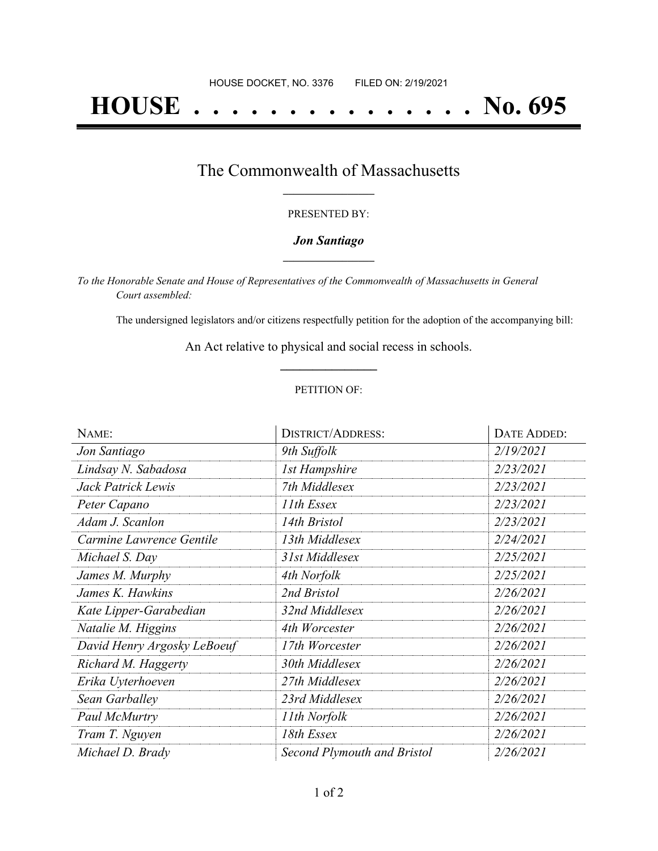# **HOUSE . . . . . . . . . . . . . . . No. 695**

## The Commonwealth of Massachusetts **\_\_\_\_\_\_\_\_\_\_\_\_\_\_\_\_\_**

### PRESENTED BY:

## *Jon Santiago* **\_\_\_\_\_\_\_\_\_\_\_\_\_\_\_\_\_**

*To the Honorable Senate and House of Representatives of the Commonwealth of Massachusetts in General Court assembled:*

The undersigned legislators and/or citizens respectfully petition for the adoption of the accompanying bill:

An Act relative to physical and social recess in schools. **\_\_\_\_\_\_\_\_\_\_\_\_\_\_\_**

### PETITION OF:

| NAME:                       | <b>DISTRICT/ADDRESS:</b>    | DATE ADDED: |
|-----------------------------|-----------------------------|-------------|
| Jon Santiago                | 9th Suffolk                 | 2/19/2021   |
| Lindsay N. Sabadosa         | <b>1st Hampshire</b>        | 2/23/2021   |
| Jack Patrick Lewis          | 7th Middlesex               | 2/23/2021   |
| Peter Capano                | 11th Essex                  | 2/23/2021   |
| Adam J. Scanlon             | 14th Bristol                | 2/23/2021   |
| Carmine Lawrence Gentile    | 13th Middlesex              | 2/24/2021   |
| Michael S. Day              | 31st Middlesex              | 2/25/2021   |
| James M. Murphy             | 4th Norfolk                 | 2/25/2021   |
| James K. Hawkins            | 2nd Bristol                 | 2/26/2021   |
| Kate Lipper-Garabedian      | 32nd Middlesex              | 2/26/2021   |
| Natalie M. Higgins          | 4th Worcester               | 2/26/2021   |
| David Henry Argosky LeBoeuf | 17th Worcester              | 2/26/2021   |
| Richard M. Haggerty         | 30th Middlesex              | 2/26/2021   |
| Erika Uyterhoeven           | 27th Middlesex              | 2/26/2021   |
| Sean Garballey              | 23rd Middlesex              | 2/26/2021   |
| Paul McMurtry               | 11th Norfolk                | 2/26/2021   |
| Tram T. Nguyen              | 18th Essex                  | 2/26/2021   |
| Michael D. Brady            | Second Plymouth and Bristol | 2/26/2021   |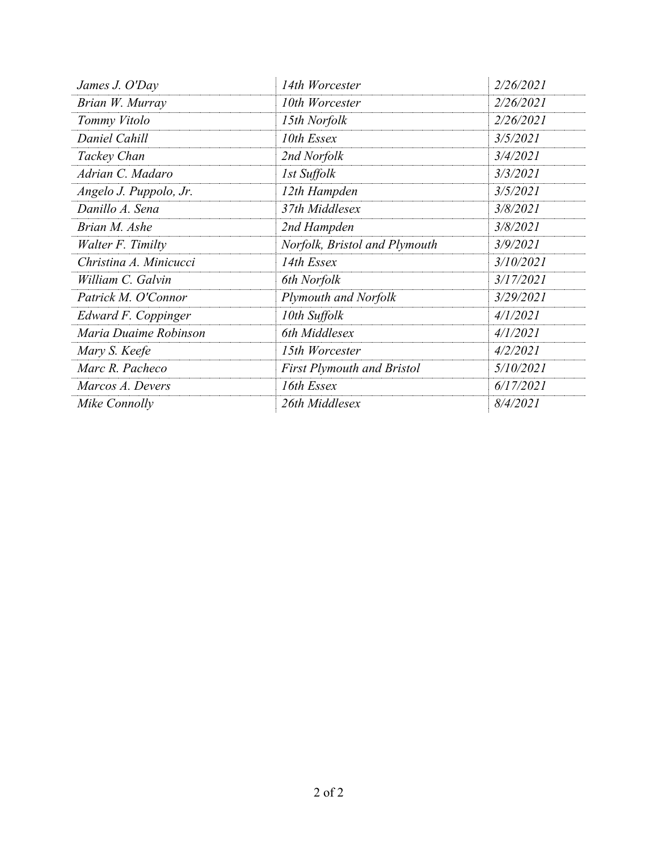| James J. O'Day         | 14th Worcester                    | 2/26/2021 |
|------------------------|-----------------------------------|-----------|
| Brian W. Murray        | 10th Worcester                    | 2/26/2021 |
| Tommy Vitolo           | 15th Norfolk                      | 2/26/2021 |
| Daniel Cahill          | 10th Essex                        | 3/5/2021  |
| Tackey Chan            | 2nd Norfolk                       | 3/4/2021  |
| Adrian C. Madaro       | 1st Suffolk                       | 3/3/2021  |
| Angelo J. Puppolo, Jr. | 12th Hampden                      | 3/5/2021  |
| Danillo A. Sena        | 37th Middlesex                    | 3/8/2021  |
| Brian M. Ashe          | 2nd Hampden                       | 3/8/2021  |
| Walter F. Timilty      | Norfolk, Bristol and Plymouth     | 3/9/2021  |
| Christina A. Minicucci | 14th Essex                        | 3/10/2021 |
| William C. Galvin      | 6th Norfolk                       | 3/17/2021 |
| Patrick M. O'Connor    | <b>Plymouth and Norfolk</b>       | 3/29/2021 |
| Edward F. Coppinger    | 10th Suffolk                      | 4/1/2021  |
| Maria Duaime Robinson  | 6th Middlesex                     | 4/1/2021  |
| Mary S. Keefe          | 15th Worcester                    | 4/2/2021  |
| Marc R. Pacheco        | <b>First Plymouth and Bristol</b> | 5/10/2021 |
| Marcos A. Devers       | 16th Essex                        | 6/17/2021 |
| Mike Connolly          | 26th Middlesex                    | 8/4/2021  |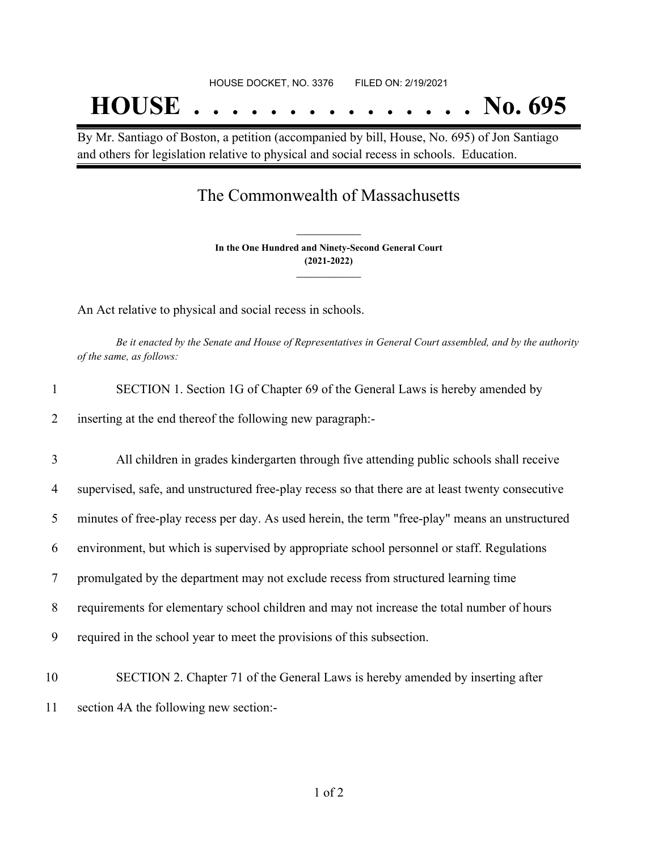By Mr. Santiago of Boston, a petition (accompanied by bill, House, No. 695) of Jon Santiago and others for legislation relative to physical and social recess in schools. Education.

# The Commonwealth of Massachusetts

**In the One Hundred and Ninety-Second General Court (2021-2022) \_\_\_\_\_\_\_\_\_\_\_\_\_\_\_**

**\_\_\_\_\_\_\_\_\_\_\_\_\_\_\_**

An Act relative to physical and social recess in schools.

Be it enacted by the Senate and House of Representatives in General Court assembled, and by the authority *of the same, as follows:*

| SECTION 1. Section 1G of Chapter 69 of the General Laws is hereby amended by            |
|-----------------------------------------------------------------------------------------|
| inserting at the end thereof the following new paragraph:-                              |
| All children in grades kindergarten through five attending public schools shall receive |

| $\overline{4}$ | supervised, safe, and unstructured free-play recess so that there are at least twenty consecutive |
|----------------|---------------------------------------------------------------------------------------------------|
| 5              | minutes of free-play recess per day. As used herein, the term "free-play" means an unstructured   |
| 6              | environment, but which is supervised by appropriate school personnel or staff. Regulations        |
| 7              | promulgated by the department may not exclude recess from structured learning time                |
| 8              | requirements for elementary school children and may not increase the total number of hours        |
| 9              | required in the school year to meet the provisions of this subsection.                            |
|                |                                                                                                   |

- 10 SECTION 2. Chapter 71 of the General Laws is hereby amended by inserting after
- 11 section 4A the following new section:-